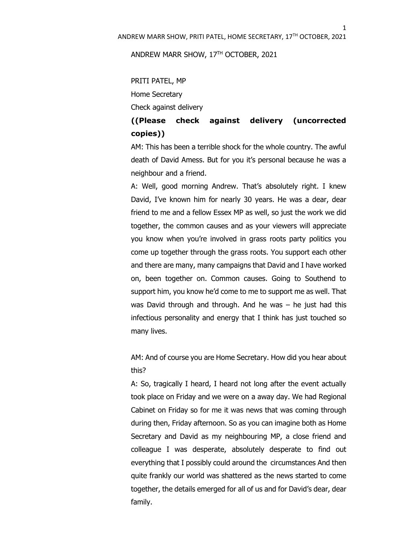1

ANDREW MARR SHOW, 17TH OCTOBER, 2021

PRITI PATEL, MP Home Secretary Check against delivery

## **((Please check against delivery (uncorrected copies))**

AM: This has been a terrible shock for the whole country. The awful death of David Amess. But for you it's personal because he was a neighbour and a friend.

A: Well, good morning Andrew. That's absolutely right. I knew David, I've known him for nearly 30 years. He was a dear, dear friend to me and a fellow Essex MP as well, so just the work we did together, the common causes and as your viewers will appreciate you know when you're involved in grass roots party politics you come up together through the grass roots. You support each other and there are many, many campaigns that David and I have worked on, been together on. Common causes. Going to Southend to support him, you know he'd come to me to support me as well. That was David through and through. And he was – he just had this infectious personality and energy that I think has just touched so many lives.

AM: And of course you are Home Secretary. How did you hear about this?

A: So, tragically I heard, I heard not long after the event actually took place on Friday and we were on a away day. We had Regional Cabinet on Friday so for me it was news that was coming through during then, Friday afternoon. So as you can imagine both as Home Secretary and David as my neighbouring MP, a close friend and colleague I was desperate, absolutely desperate to find out everything that I possibly could around the circumstances And then quite frankly our world was shattered as the news started to come together, the details emerged for all of us and for David's dear, dear family.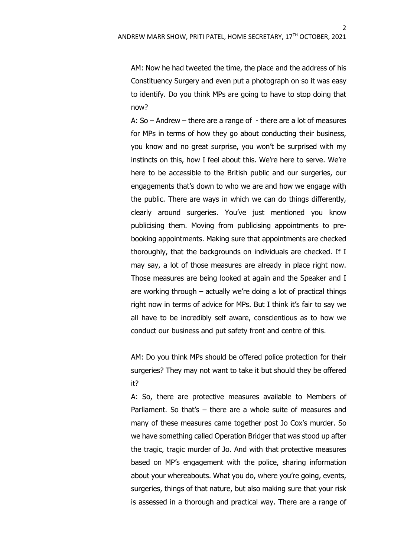$\mathcal{L}$ 

AM: Now he had tweeted the time, the place and the address of his Constituency Surgery and even put a photograph on so it was easy to identify. Do you think MPs are going to have to stop doing that now?

A:  $So$  – Andrew – there are a range of  $-$  there are a lot of measures for MPs in terms of how they go about conducting their business, you know and no great surprise, you won't be surprised with my instincts on this, how I feel about this. We're here to serve. We're here to be accessible to the British public and our surgeries, our engagements that's down to who we are and how we engage with the public. There are ways in which we can do things differently, clearly around surgeries. You've just mentioned you know publicising them. Moving from publicising appointments to prebooking appointments. Making sure that appointments are checked thoroughly, that the backgrounds on individuals are checked. If I may say, a lot of those measures are already in place right now. Those measures are being looked at again and the Speaker and I are working through – actually we're doing a lot of practical things right now in terms of advice for MPs. But I think it's fair to say we all have to be incredibly self aware, conscientious as to how we conduct our business and put safety front and centre of this.

AM: Do you think MPs should be offered police protection for their surgeries? They may not want to take it but should they be offered it?

A: So, there are protective measures available to Members of Parliament. So that's – there are a whole suite of measures and many of these measures came together post Jo Cox's murder. So we have something called Operation Bridger that was stood up after the tragic, tragic murder of Jo. And with that protective measures based on MP's engagement with the police, sharing information about your whereabouts. What you do, where you're going, events, surgeries, things of that nature, but also making sure that your risk is assessed in a thorough and practical way. There are a range of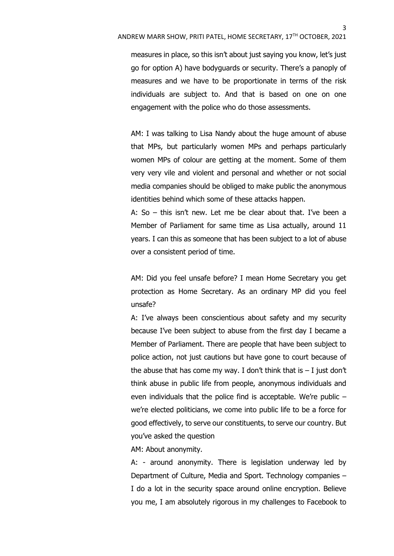measures in place, so this isn't about just saying you know, let's just go for option A) have bodyguards or security. There's a panoply of measures and we have to be proportionate in terms of the risk individuals are subject to. And that is based on one on one engagement with the police who do those assessments.

AM: I was talking to Lisa Nandy about the huge amount of abuse that MPs, but particularly women MPs and perhaps particularly women MPs of colour are getting at the moment. Some of them very very vile and violent and personal and whether or not social media companies should be obliged to make public the anonymous identities behind which some of these attacks happen.

A: So – this isn't new. Let me be clear about that. I've been a Member of Parliament for same time as Lisa actually, around 11 years. I can this as someone that has been subject to a lot of abuse over a consistent period of time.

AM: Did you feel unsafe before? I mean Home Secretary you get protection as Home Secretary. As an ordinary MP did you feel unsafe?

A: I've always been conscientious about safety and my security because I've been subject to abuse from the first day I became a Member of Parliament. There are people that have been subject to police action, not just cautions but have gone to court because of the abuse that has come my way. I don't think that is  $-1$  just don't think abuse in public life from people, anonymous individuals and even individuals that the police find is acceptable. We're public – we're elected politicians, we come into public life to be a force for good effectively, to serve our constituents, to serve our country. But you've asked the question

AM: About anonymity.

A: - around anonymity. There is legislation underway led by Department of Culture, Media and Sport. Technology companies – I do a lot in the security space around online encryption. Believe you me, I am absolutely rigorous in my challenges to Facebook to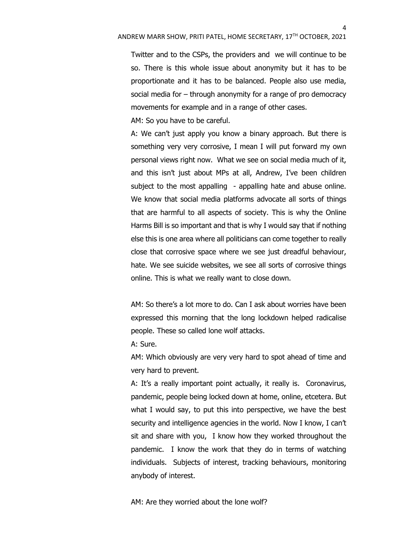4

Twitter and to the CSPs, the providers and we will continue to be so. There is this whole issue about anonymity but it has to be proportionate and it has to be balanced. People also use media, social media for – through anonymity for a range of pro democracy movements for example and in a range of other cases.

AM: So you have to be careful.

A: We can't just apply you know a binary approach. But there is something very very corrosive, I mean I will put forward my own personal views right now. What we see on social media much of it, and this isn't just about MPs at all, Andrew, I've been children subject to the most appalling - appalling hate and abuse online. We know that social media platforms advocate all sorts of things that are harmful to all aspects of society. This is why the Online Harms Bill is so important and that is why I would say that if nothing else this is one area where all politicians can come together to really close that corrosive space where we see just dreadful behaviour, hate. We see suicide websites, we see all sorts of corrosive things online. This is what we really want to close down.

AM: So there's a lot more to do. Can I ask about worries have been expressed this morning that the long lockdown helped radicalise people. These so called lone wolf attacks.

A: Sure.

AM: Which obviously are very very hard to spot ahead of time and very hard to prevent.

A: It's a really important point actually, it really is. Coronavirus, pandemic, people being locked down at home, online, etcetera. But what I would say, to put this into perspective, we have the best security and intelligence agencies in the world. Now I know, I can't sit and share with you, I know how they worked throughout the pandemic. I know the work that they do in terms of watching individuals. Subjects of interest, tracking behaviours, monitoring anybody of interest.

AM: Are they worried about the lone wolf?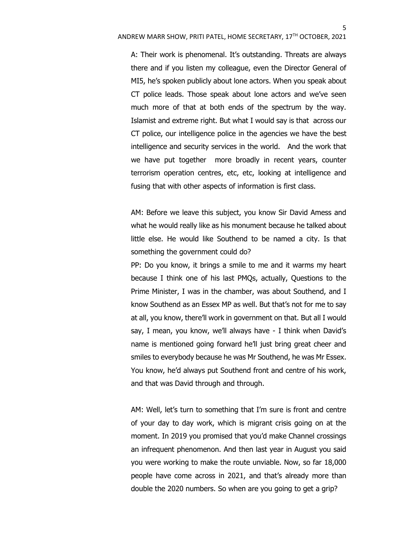A: Their work is phenomenal. It's outstanding. Threats are always there and if you listen my colleague, even the Director General of MI5, he's spoken publicly about lone actors. When you speak about CT police leads. Those speak about lone actors and we've seen much more of that at both ends of the spectrum by the way. Islamist and extreme right. But what I would say is that across our CT police, our intelligence police in the agencies we have the best intelligence and security services in the world. And the work that we have put together more broadly in recent years, counter terrorism operation centres, etc, etc, looking at intelligence and fusing that with other aspects of information is first class.

AM: Before we leave this subject, you know Sir David Amess and what he would really like as his monument because he talked about little else. He would like Southend to be named a city. Is that something the government could do?

PP: Do you know, it brings a smile to me and it warms my heart because I think one of his last PMQs, actually, Questions to the Prime Minister, I was in the chamber, was about Southend, and I know Southend as an Essex MP as well. But that's not for me to say at all, you know, there'll work in government on that. But all I would say, I mean, you know, we'll always have - I think when David's name is mentioned going forward he'll just bring great cheer and smiles to everybody because he was Mr Southend, he was Mr Essex. You know, he'd always put Southend front and centre of his work, and that was David through and through.

AM: Well, let's turn to something that I'm sure is front and centre of your day to day work, which is migrant crisis going on at the moment. In 2019 you promised that you'd make Channel crossings an infrequent phenomenon. And then last year in August you said you were working to make the route unviable. Now, so far 18,000 people have come across in 2021, and that's already more than double the 2020 numbers. So when are you going to get a grip?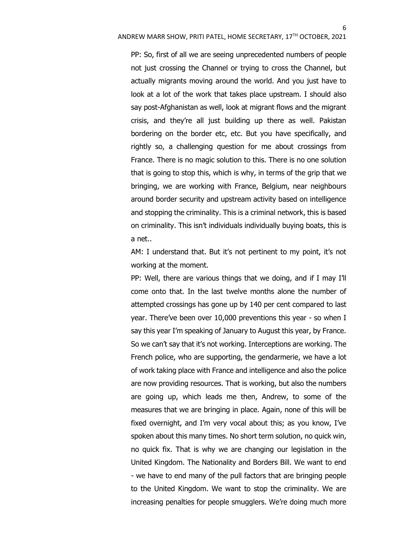PP: So, first of all we are seeing unprecedented numbers of people not just crossing the Channel or trying to cross the Channel, but actually migrants moving around the world. And you just have to look at a lot of the work that takes place upstream. I should also say post-Afghanistan as well, look at migrant flows and the migrant crisis, and they're all just building up there as well. Pakistan bordering on the border etc, etc. But you have specifically, and rightly so, a challenging question for me about crossings from France. There is no magic solution to this. There is no one solution that is going to stop this, which is why, in terms of the grip that we bringing, we are working with France, Belgium, near neighbours around border security and upstream activity based on intelligence and stopping the criminality. This is a criminal network, this is based on criminality. This isn't individuals individually buying boats, this is a net..

AM: I understand that. But it's not pertinent to my point, it's not working at the moment.

PP: Well, there are various things that we doing, and if I may I'll come onto that. In the last twelve months alone the number of attempted crossings has gone up by 140 per cent compared to last year. There've been over 10,000 preventions this year - so when I say this year I'm speaking of January to August this year, by France. So we can't say that it's not working. Interceptions are working. The French police, who are supporting, the gendarmerie, we have a lot of work taking place with France and intelligence and also the police are now providing resources. That is working, but also the numbers are going up, which leads me then, Andrew, to some of the measures that we are bringing in place. Again, none of this will be fixed overnight, and I'm very vocal about this; as you know, I've spoken about this many times. No short term solution, no quick win, no quick fix. That is why we are changing our legislation in the United Kingdom. The Nationality and Borders Bill. We want to end - we have to end many of the pull factors that are bringing people to the United Kingdom. We want to stop the criminality. We are increasing penalties for people smugglers. We're doing much more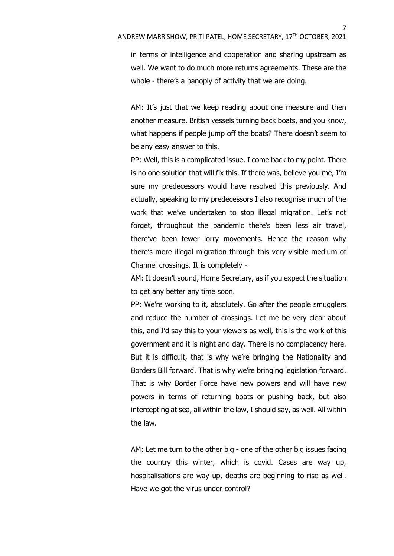in terms of intelligence and cooperation and sharing upstream as well. We want to do much more returns agreements. These are the whole - there's a panoply of activity that we are doing.

AM: It's just that we keep reading about one measure and then another measure. British vessels turning back boats, and you know, what happens if people jump off the boats? There doesn't seem to be any easy answer to this.

PP: Well, this is a complicated issue. I come back to my point. There is no one solution that will fix this. If there was, believe you me, I'm sure my predecessors would have resolved this previously. And actually, speaking to my predecessors I also recognise much of the work that we've undertaken to stop illegal migration. Let's not forget, throughout the pandemic there's been less air travel, there've been fewer lorry movements. Hence the reason why there's more illegal migration through this very visible medium of Channel crossings. It is completely -

AM: It doesn't sound, Home Secretary, as if you expect the situation to get any better any time soon.

PP: We're working to it, absolutely. Go after the people smugglers and reduce the number of crossings. Let me be very clear about this, and I'd say this to your viewers as well, this is the work of this government and it is night and day. There is no complacency here. But it is difficult, that is why we're bringing the Nationality and Borders Bill forward. That is why we're bringing legislation forward. That is why Border Force have new powers and will have new powers in terms of returning boats or pushing back, but also intercepting at sea, all within the law, I should say, as well. All within the law.

AM: Let me turn to the other big - one of the other big issues facing the country this winter, which is covid. Cases are way up, hospitalisations are way up, deaths are beginning to rise as well. Have we got the virus under control?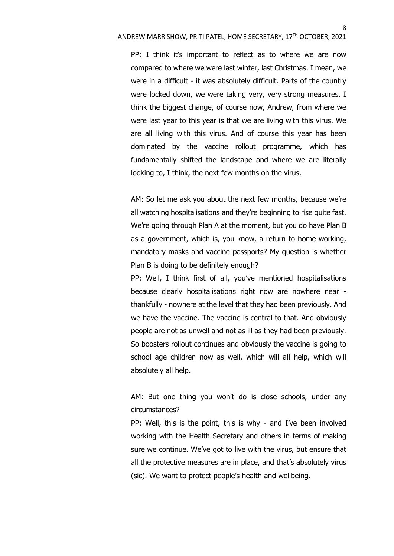PP: I think it's important to reflect as to where we are now compared to where we were last winter, last Christmas. I mean, we were in a difficult - it was absolutely difficult. Parts of the country were locked down, we were taking very, very strong measures. I think the biggest change, of course now, Andrew, from where we were last year to this year is that we are living with this virus. We are all living with this virus. And of course this year has been dominated by the vaccine rollout programme, which has fundamentally shifted the landscape and where we are literally looking to, I think, the next few months on the virus.

AM: So let me ask you about the next few months, because we're all watching hospitalisations and they're beginning to rise quite fast. We're going through Plan A at the moment, but you do have Plan B as a government, which is, you know, a return to home working, mandatory masks and vaccine passports? My question is whether Plan B is doing to be definitely enough?

PP: Well, I think first of all, you've mentioned hospitalisations because clearly hospitalisations right now are nowhere near thankfully - nowhere at the level that they had been previously. And we have the vaccine. The vaccine is central to that. And obviously people are not as unwell and not as ill as they had been previously. So boosters rollout continues and obviously the vaccine is going to school age children now as well, which will all help, which will absolutely all help.

AM: But one thing you won't do is close schools, under any circumstances?

PP: Well, this is the point, this is why - and I've been involved working with the Health Secretary and others in terms of making sure we continue. We've got to live with the virus, but ensure that all the protective measures are in place, and that's absolutely virus (sic). We want to protect people's health and wellbeing.